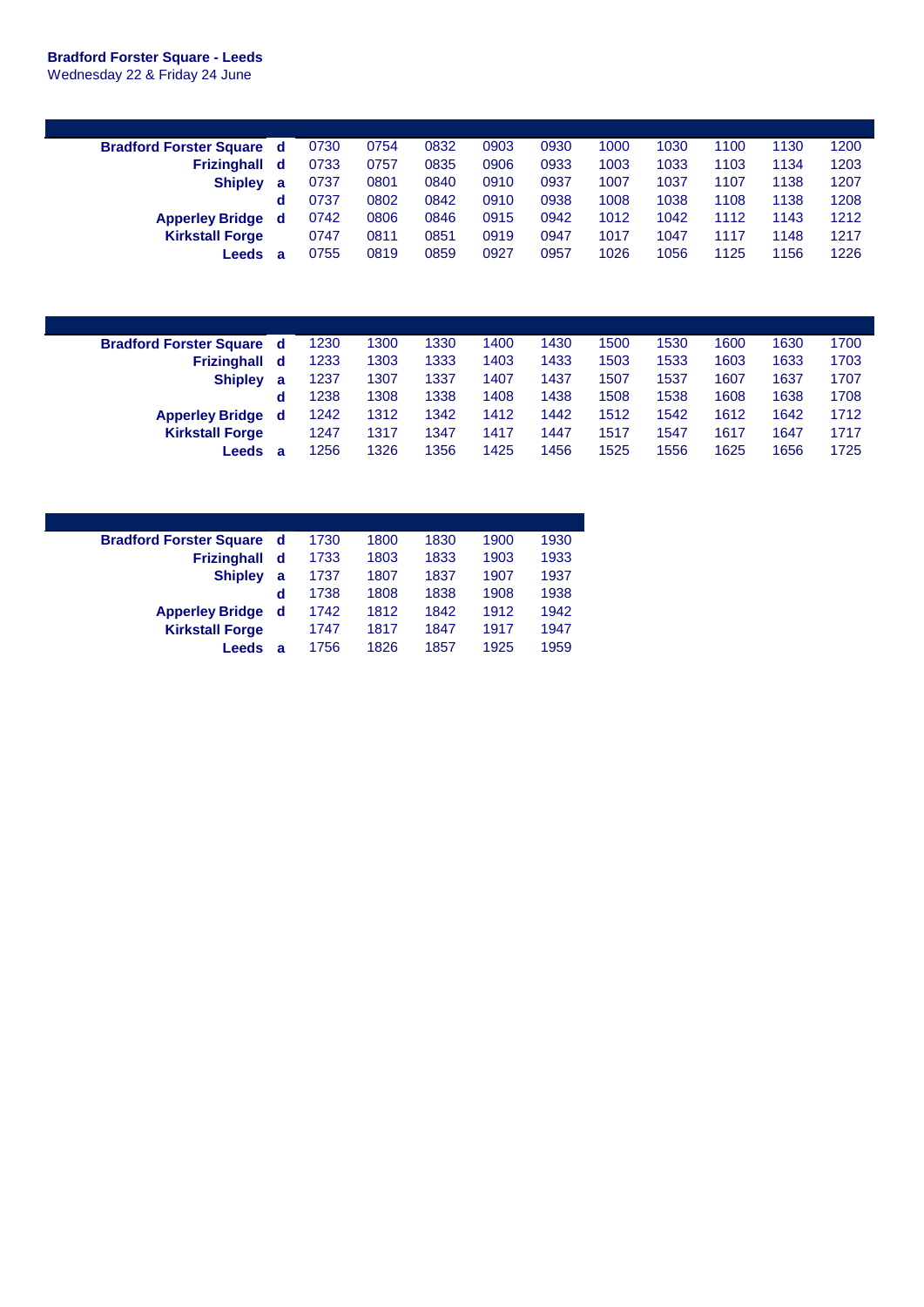## **Bradford Forster Square - Leeds**

Wednesday 22 & Friday 24 June

| <b>Bradford Forster Square</b> | d | 0730 | 0754 | 0832 | 0903 | 0930 | 1000 | 1030 | 1100 | 1130 | 1200 |
|--------------------------------|---|------|------|------|------|------|------|------|------|------|------|
| <b>Frizinghall</b>             | d | 0733 | 0757 | 0835 | 0906 | 0933 | 1003 | 1033 | 1103 | 1134 | 1203 |
| <b>Shipley</b>                 | a | 0737 | 0801 | 0840 | 0910 | 0937 | 1007 | 1037 | 1107 | 1138 | 1207 |
|                                | d | 0737 | 0802 | 0842 | 0910 | 0938 | 1008 | 1038 | 1108 | 1138 | 1208 |
| <b>Apperley Bridge</b>         | d | 0742 | 0806 | 0846 | 0915 | 0942 | 1012 | 1042 | 1112 | 1143 | 1212 |
| <b>Kirkstall Forge</b>         |   | 0747 | 0811 | 0851 | 0919 | 0947 | 1017 | 1047 | 1117 | 1148 | 1217 |
| Leeds                          | a | 0755 | 0819 | 0859 | 0927 | 0957 | 1026 | 1056 | 1125 | 1156 | 1226 |

| <b>Bradford Forster Square d</b> |   | 1230 | 1300 | 1330 | 1400 | 1430 | 1500 | 1530 | 1600 | 1630 | 1700 |
|----------------------------------|---|------|------|------|------|------|------|------|------|------|------|
| Frizinghall d                    |   | 1233 | 1303 | 1333 | 1403 | 1433 | 1503 | 1533 | 1603 | 1633 | 1703 |
| <b>Shipley</b>                   | a | 1237 | 1307 | 1337 | 1407 | 1437 | 1507 | 1537 | 1607 | 1637 | 1707 |
|                                  | d | 1238 | 1308 | 1338 | 1408 | 1438 | 1508 | 1538 | 1608 | 1638 | 1708 |
| <b>Apperley Bridge</b> d         |   | 1242 | 1312 | 1342 | 1412 | 1442 | 1512 | 1542 | 1612 | 1642 | 1712 |
| <b>Kirkstall Forge</b>           |   | 1247 | 1317 | 1347 | 1417 | 1447 | 1517 | 1547 | 1617 | 1647 | 1717 |
| ∟eeds                            | а | 1256 | 326  | 1356 | 1425 | 1456 | 1525 | 1556 | 1625 | 1656 | 1725 |

| <b>Bradford Forster Square</b> | - d | 1730 | 1800 | 1830 | 1900 | 1930 |
|--------------------------------|-----|------|------|------|------|------|
| <b>Frizinghall</b>             | d   | 1733 | 1803 | 1833 | 1903 | 1933 |
| <b>Shipley</b>                 | a   | 1737 | 1807 | 1837 | 1907 | 1937 |
|                                | d   | 1738 | 1808 | 1838 | 1908 | 1938 |
| <b>Apperley Bridge</b>         | d   | 1742 | 1812 | 1842 | 1912 | 1942 |
| <b>Kirkstall Forge</b>         |     | 1747 | 1817 | 1847 | 1917 | 1947 |
| Leeds                          | a   | 1756 | 1826 | 1857 | 1925 | 1959 |
|                                |     |      |      |      |      |      |